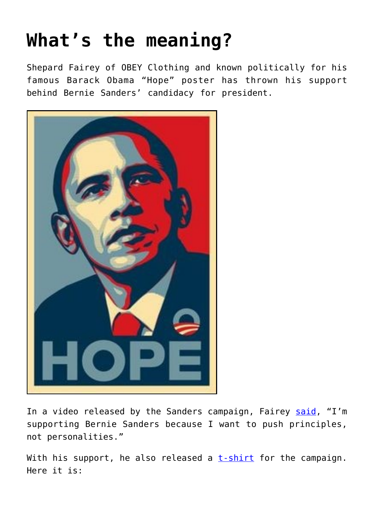## **[What's the meaning?](https://intellectualtakeout.org/2016/02/whats-the-meaning/)**

Shepard Fairey of OBEY Clothing and known politically for his famous Barack Obama "Hope" poster has thrown his support behind Bernie Sanders' candidacy for president.



In a video released by the Sanders campaign, Fairey [said](http://thehill.com/blogs/ballot-box/presidential-races/269823-obama-hope-designer-endorses-sanders), "I'm supporting Bernie Sanders because I want to push principles, not personalities."

With his support, he also released a  $t$ -shirt for the campaign. Here it is: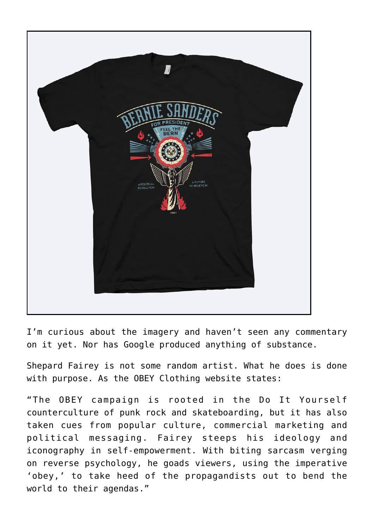

I'm curious about the imagery and haven't seen any commentary on it yet. Nor has Google produced anything of substance.

Shepard Fairey is not some random artist. What he does is done with purpose. As the OBEY Clothing website states:

"The OBEY campaign is rooted in the Do It Yourself counterculture of punk rock and skateboarding, but it has also taken cues from popular culture, commercial marketing and political messaging. Fairey steeps his ideology and iconography in self-empowerment. With biting sarcasm verging on reverse psychology, he goads viewers, using the imperative 'obey,' to take heed of the propagandists out to bend the world to their agendas."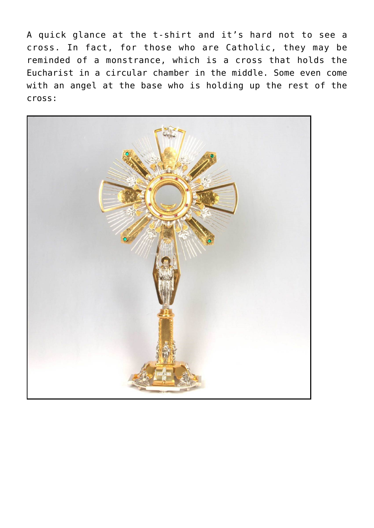A quick glance at the t-shirt and it's hard not to see a cross. In fact, for those who are Catholic, they may be reminded of a monstrance, which is a cross that holds the Eucharist in a circular chamber in the middle. Some even come with an angel at the base who is holding up the rest of the cross:

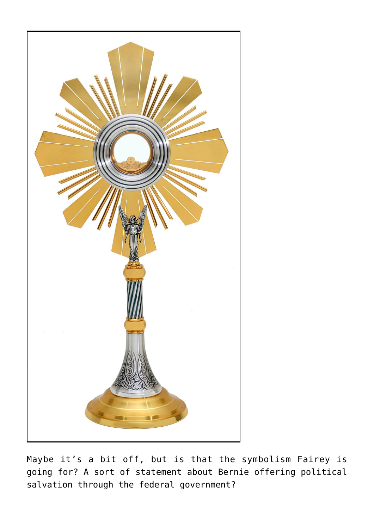

Maybe it's a bit off, but is that the symbolism Fairey is going for? A sort of statement about Bernie offering political salvation through the federal government?